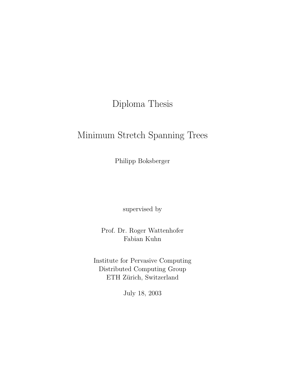## Diploma Thesis

## Minimum Stretch Spanning Trees

Philipp Boksberger

supervised by

Prof. Dr. Roger Wattenhofer Fabian Kuhn

Institute for Pervasive Computing Distributed Computing Group ETH Zürich, Switzerland

July 18, 2003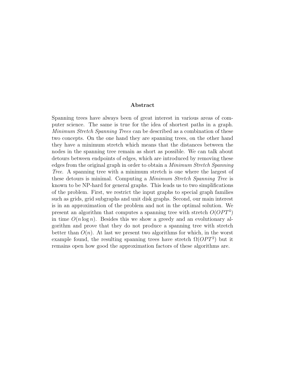#### Abstract

Spanning trees have always been of great interest in various areas of computer science. The same is true for the idea of shortest paths in a graph. Minimum Stretch Spanning Trees can be described as a combination of these two concepts. On the one hand they are spanning trees, on the other hand they have a minimum stretch which means that the distances between the nodes in the spanning tree remain as short as possible. We can talk about detours between endpoints of edges, which are introduced by removing these edges from the original graph in order to obtain a Minimum Stretch Spanning Tree. A spanning tree with a minimum stretch is one where the largest of these detours is minimal. Computing a Minimum Stretch Spanning Tree is known to be NP-hard for general graphs. This leads us to two simplifications of the problem. First, we restrict the input graphs to special graph families such as grids, grid subgraphs and unit disk graphs. Second, our main interest is in an approximation of the problem and not in the optimal solution. We present an algorithm that computes a spanning tree with stretch  $O(OPT<sup>4</sup>)$ in time  $O(n \log n)$ . Besides this we show a greedy and an evolutionary algorithm and prove that they do not produce a spanning tree with stretch better than  $O(n)$ . At last we present two algorithms for which, in the worst example found, the resulting spanning trees have stretch  $\Omega(OPT^2)$  but it remains open how good the approximation factors of these algorithms are.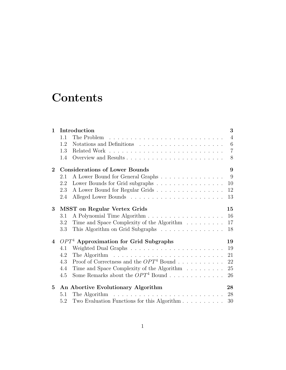## **Contents**

| $\mathbf 1$     | Introduction                                                                          |  | 3              |
|-----------------|---------------------------------------------------------------------------------------|--|----------------|
|                 | 1.1                                                                                   |  | $\overline{4}$ |
|                 | 1.2                                                                                   |  | $\,6\,$        |
|                 | 1.3                                                                                   |  | $\overline{7}$ |
|                 | 1.4                                                                                   |  | 8              |
| $\overline{2}$  | <b>Considerations of Lower Bounds</b>                                                 |  | 9              |
|                 | A Lower Bound for General Graphs<br>2.1                                               |  | 9              |
|                 | Lower Bounds for Grid subgraphs<br>2.2                                                |  | 10             |
|                 | A Lower Bound for Regular Grids<br>2.3                                                |  | 12             |
|                 | 2.4                                                                                   |  | 13             |
| $3\phantom{.0}$ | <b>MSST</b> on Regular Vertex Grids                                                   |  | 15             |
|                 | 3.1                                                                                   |  | 16             |
|                 | Time and Space Complexity of the Algorithm<br>3.2                                     |  | 17             |
|                 | This Algorithm on Grid Subgraphs<br>3.3                                               |  | 18             |
| $\overline{4}$  | $OPT4$ Approximation for Grid Subgraphs                                               |  | 19             |
|                 | 4.1                                                                                   |  | 19             |
|                 | The Algorithm $\ldots \ldots \ldots \ldots \ldots \ldots \ldots \ldots \ldots$<br>4.2 |  | 21             |
|                 | Proof of Correctness and the $OPT^4$ Bound<br>4.3                                     |  | 22             |
|                 | Time and Space Complexity of the Algorithm<br>4.4                                     |  | 25             |
|                 | Some Remarks about the $OPT^4$ Bound<br>4.5                                           |  | 26             |
| 5               | An Abortive Evolutionary Algorithm                                                    |  | 28             |
|                 | 5.1                                                                                   |  | 28             |
|                 | Two Evaluation Functions for this Algorithm<br>5.2                                    |  | 30             |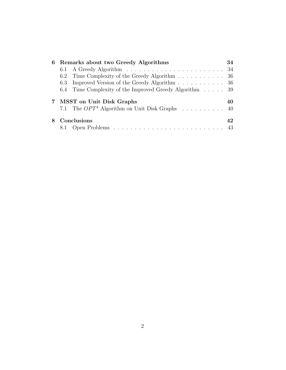| 6 Remarks about two Greedy Algorithms                                          | 34 |
|--------------------------------------------------------------------------------|----|
|                                                                                |    |
| Time Complexity of the Greedy Algorithm 36<br>6.2                              |    |
| Improved Version of the Greedy Algorithm 36<br>6.3                             |    |
| 6.4 Time Complexity of the Improved Greedy Algorithm 39                        |    |
| 7 MSST on Unit Disk Graphs<br>7.1 The $OPT^4$ Algorithm on Unit Disk Graphs 40 | 40 |
| Conclusions                                                                    | 42 |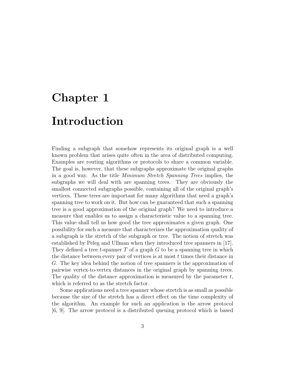# Chapter 1 Introduction

Finding a subgraph that somehow represents its original graph is a well known problem that arises quite often in the area of distributed computing. Examples are routing algorithms or protocols to share a common variable. The goal is, however, that these subgraphs approximate the original graphs in a good way. As the title Minimum Stretch Spanning Trees implies, the subgraphs we will deal with are spanning trees. They are obviously the smallest connected subgraphs possible, containing all of the original graph's vertices. These trees are important for many algorithms that need a graph's spanning tree to work on it. But how can be guaranteed that such a spanning tree is a good approximation of the original graph? We need to introduce a measure that enables us to assign a characteristic value to a spanning tree. This value shall tell us how good the tree approximates a given graph. One possibility for such a measure that characterizes the approximation quality of a subgraph is the stretch of the subgraph or tree. The notion of stretch was established by Peleg and Ullman when they introduced tree spanners in [17]. They defined a tree t-spanner  $T$  of a graph  $G$  to be a spanning tree in which the distance between every pair of vertices is at most  $t$  times their distance in G. The key idea behind the notion of tree spanners is the approximation of pairwise vertex-to-vertex distances in the original graph by spanning trees. The quality of the distance approximation is measured by the parameter  $t$ , which is referred to as the stretch factor.

Some applications need a tree spanner whose stretch is as small as possible because the size of the stretch has a direct effect on the time complexity of the algorithm. An example for such an application is the arrow protocol [6, 9]. The arrow protocol is a distributed queuing protocol which is based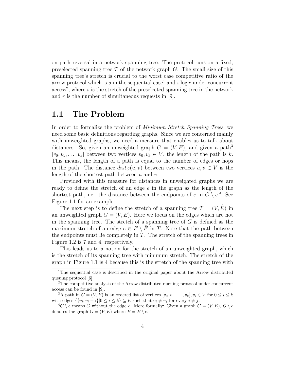on path reversal in a network spanning tree. The protocol runs on a fixed, preselected spanning tree  $T$  of the network graph  $G$ . The small size of this spanning tree's stretch is crucial to the worst case competitive ratio of the arrow protocol which is s in the sequential case<sup>1</sup> and s log r under concurrent  $access<sup>2</sup>$ , where s is the stretch of the preselected spanning tree in the network and  $r$  is the number of simultaneous requests in [9].

### 1.1 The Problem

In order to formalize the problem of *Minimum Stretch Spanning Trees*, we need some basic definitions regarding graphs. Since we are concerned mainly with unweighted graphs, we need a measure that enables us to talk about distances. So, given an unweighted graph  $G = (V, E)$ , and given a path<sup>3</sup>  $[v_0, v_1, \ldots, v_k]$  between two vertices  $v_0, v_k \in V$ , the length of the path is k. This means, the length of a path is equal to the number of edges or hops in the path. The distance  $dist_G(u, v)$  between two vertices  $u, v \in V$  is the length of the shortest path between  $u$  and  $v$ .

Provided with this measure for distances in unweighted graphs we are ready to define the stretch of an edge  $e$  in the graph as the length of the shortest path, i.e. the distance between the endpoints of e in  $G \setminus e^4$ . See Figure 1.1 for an example.

The next step is to define the stretch of a spanning tree  $T = (V, \hat{E})$  in an unweighted graph  $G = (V, E)$ . Here we focus on the edges which are not in the spanning tree. The stretch of a spanning tree of  $G$  is defined as the maximum stretch of an edge  $e \in E \setminus E$  in T. Note that the path between the endpoints must lie completely in  $T$ . The stretch of the spanning trees in Figure 1.2 is 7 and 4, respectively.

This leads us to a notion for the stretch of an unweighted graph, which is the stretch of its spanning tree with minimum stretch. The stretch of the graph in Figure 1.1 is 4 because this is the stretch of the spanning tree with

<sup>&</sup>lt;sup>1</sup>The sequential case is described in the original paper about the Arrow distributed queuing protocol [6].

<sup>2</sup>The competitive analysis of the Arrow distributed queuing protocol under concurrent access can be found in [9].

<sup>&</sup>lt;sup>3</sup>A path in  $G = (V, E)$  is an ordered list of vertices  $[v_0, v_1, \ldots, v_k], v_i \in V$  for  $0 \le i \le k$ with edges  $\{\{v_i, v_i + i\}|0 \leq i \leq k\} \subseteq E$  such that  $v_i \neq v_j$  for every  $i \neq j$ .

 ${}^4G \setminus e$  means G without the edge e. More formally: Given a graph  $G = (V, E), G \setminus e$ denotes the graph  $\hat{G} = (V, \hat{E})$  where  $\hat{E} = E \setminus e$ .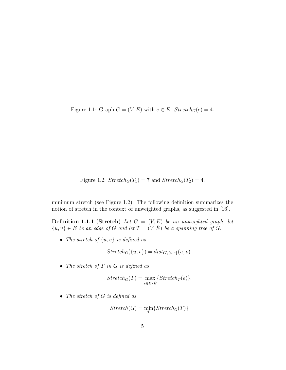Figure 1.1: Graph  $G = (V, E)$  with  $e \in E$ . Stretch<sub>G</sub> $(e) = 4$ .

Figure 1.2: 
$$
Stretch_G(T_1) = 7
$$
 and  $Stretch_G(T_2) = 4$ .

minimum stretch (see Figure 1.2). The following definition summarizes the notion of stretch in the context of unweighted graphs, as suggested in [16].

**Definition 1.1.1 (Stretch)** Let  $G = (V, E)$  be an unweighted graph, let  ${u, v} \in E$  be an edge of G and let  $T = (V, \hat{E})$  be a spanning tree of G.

• The stretch of  $\{u, v\}$  is defined as

$$
Stretch_G({u, v}) = dist_{G \setminus {u, v}}(u, v).
$$

• The stretch of  $T$  in  $G$  is defined as

$$
Stretch_G(T) = \max_{e \in E \setminus \hat{E}} \{ Stretch_T(e) \}.
$$

• The stretch of  $G$  is defined as

$$
Stretch(G) = \min_{T} \{ Stretch_G(T) \}
$$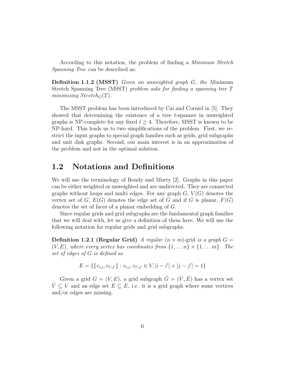According to this notation, the problem of finding a *Minimum Stretch* Spanning Tree can be described as:

Definition 1.1.2 (MSST) Given an unweighted graph G, the Minimum Stretch Spanning Tree (MSST) problem asks for finding a spanning tree T minimizing  $Stretch_G(T)$ .

The MSST problem has been introduced by Cai and Corniel in [5]. They showed that determining the existence of a tree  $t$ -spanner in unweighted graphs is NP-complete for any fixed  $t \geq 4$ . Therefore, MSST is known to be NP-hard. This leads us to two simplifications of the problem. First, we restrict the input graphs to special graph families such as grids, grid subgraphs and unit disk graphs. Second, our main interest is in an approximation of the problem and not in the optimal solution.

### 1.2 Notations and Definitions

We will use the terminology of Bondy and Murty [2]. Graphs in this paper can be either weighted or unweighted and are undirected. They are connected graphs without loops and multi edges. For any graph  $G, V(G)$  denotes the vertex set of G,  $E(G)$  denotes the edge set of G and if G is planar,  $F(G)$ denotes the set of faces of a planar embedding of G.

Since regular grids and grid subgraphs are the fundamental graph families that we will deal with, let us give a definition of them here. We will use the following notation for regular grids and grid subgraphs.

**Definition 1.2.1 (Regular Grid)** A regular  $(n \times m)$ -grid is a graph  $G =$  $(V, E)$ , where every vertex has coordinates from  $\{1, \ldots n\} \times \{1, \ldots m\}$ . The set of edges of G is defined as

$$
E = \{ \{v_{i,j}, v_{i',j'}\} : v_{i,j}, v_{i',j'} \in V, |i - i'| + |j - j'| = 1 \}
$$

Given a grid  $G = (V, E)$ , a grid subgraph  $\hat{G} = (\hat{V}, \hat{E})$  has a vertex set  $\hat{V} \subseteq V$  and an edge set  $\hat{E} \subseteq E$ , i.e. it is a grid graph where some vertices and/or edges are missing.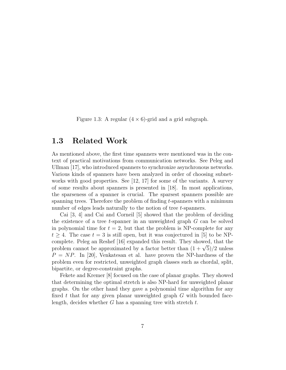Figure 1.3: A regular  $(4 \times 6)$ -grid and a grid subgraph.

#### 1.3 Related Work

As mentioned above, the first time spanners were mentioned was in the context of practical motivations from communication networks. See Peleg and Ullman [17], who introduced spanners to synchronize asynchronous networks. Various kinds of spanners have been analyzed in order of choosing subnetworks with good properties. See [12, 17] for some of the variants. A survey of some results about spanners is presented in [18]. In most applications, the sparseness of a spanner is crucial. The sparsest spanners possible are spanning trees. Therefore the problem of finding  $t$ -spanners with a minimum number of edges leads naturally to the notion of tree t-spanners.

Cai [3, 4] and Cai and Corneil [5] showed that the problem of deciding the existence of a tree t-spanner in an unweighted graph  $G$  can be solved in polynomial time for  $t = 2$ , but that the problem is NP-complete for any  $t > 4$ . The case  $t = 3$  is still open, but it was conjectured in [5] to be NPcomplete. Peleg an Reshef [16] expanded this result. They showed, that the complete. Peleg an Resner [10] expanded this result. They showed, that the problem cannot be approximated by a factor better than  $(1 + \sqrt{5})/2$  unless  $P = NP$ . In [20], Venkatesan et al. have proven the NP-hardness of the problem even for restricted, unweighted graph classes such as chordal, split, bipartite, or degree-constraint graphs.

Fekete and Kremer [8] focused on the case of planar graphs. They showed that determining the optimal stretch is also NP-hard for unweighted planar graphs. On the other hand they gave a polynomial time algorithm for any fixed t that for any given planar unweighted graph  $G$  with bounded facelength, decides whether G has a spanning tree with stretch  $t$ .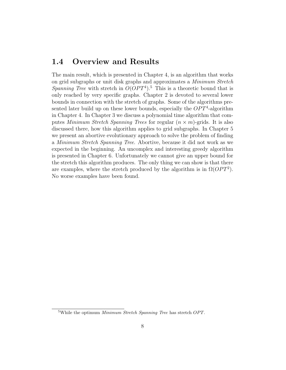### 1.4 Overview and Results

The main result, which is presented in Chapter 4, is an algorithm that works on grid subgraphs or unit disk graphs and approximates a Minimum Stretch Spanning Tree with stretch in  $O(OPT<sup>4</sup>)$ .<sup>5</sup> This is a theoretic bound that is only reached by very specific graphs. Chapter 2 is devoted to several lower bounds in connection with the stretch of graphs. Some of the algorithms presented later build up on these lower bounds, especially the  $OPT<sup>4</sup>$ -algorithm in Chapter 4. In Chapter 3 we discuss a polynomial time algorithm that computes *Minimum Stretch Spanning Trees* for regular  $(n \times m)$ -grids. It is also discussed there, how this algorithm applies to grid subgraphs. In Chapter 5 we present an abortive evolutionary approach to solve the problem of finding a Minimum Stretch Spanning Tree. Abortive, because it did not work as we expected in the beginning. An uncomplex and interesting greedy algorithm is presented in Chapter 6. Unfortunately we cannot give an upper bound for the stretch this algorithm produces. The only thing we can show is that there are examples, where the stretch produced by the algorithm is in  $\Omega(OPT^2)$ . No worse examples have been found.

<sup>&</sup>lt;sup>5</sup>While the optimum *Minimum Stretch Spanning Tree* has stretch  $OPT$ .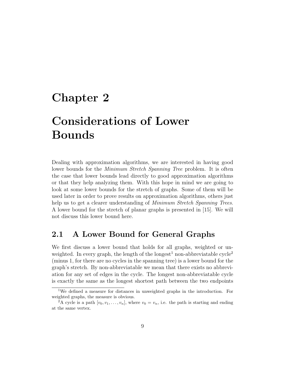## Chapter 2

## Considerations of Lower Bounds

Dealing with approximation algorithms, we are interested in having good lower bounds for the *Minimum Stretch Spanning Tree* problem. It is often the case that lower bounds lead directly to good approximation algorithms or that they help analyzing them. With this hope in mind we are going to look at some lower bounds for the stretch of graphs. Some of them will be used later in order to prove results on approximation algorithms, others just help us to get a clearer understanding of *Minimum Stretch Spanning Trees*. A lower bound for the stretch of planar graphs is presented in [15]. We will not discuss this lower bound here.

### 2.1 A Lower Bound for General Graphs

We first discuss a lower bound that holds for all graphs, weighted or unweighted. In every graph, the length of the longest<sup>1</sup> non-abbreviatable cycle<sup>2</sup> (minus 1, for there are no cycles in the spanning tree) is a lower bound for the graph's stretch. By non-abbreviatable we mean that there exists no abbreviation for any set of edges in the cycle. The longest non-abbreviatable cycle is exactly the same as the longest shortest path between the two endpoints

<sup>1</sup>We defined a measure for distances in unweighted graphs in the introduction. For weighted graphs, the measure is obvious.

<sup>&</sup>lt;sup>2</sup>A cycle is a path  $[v_0, v_1, \ldots, v_n]$ , where  $v_0 = v_n$ , i.e. the path is starting and ending at the same vertex.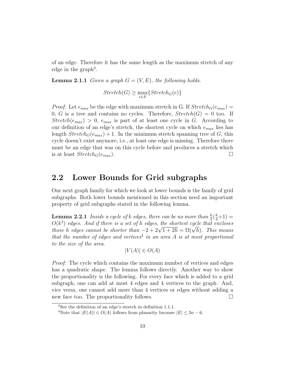of an edge. Therefore it has the same length as the maximum stretch of any edge in the graph<sup>3</sup>.

**Lemma 2.1.1** Given a graph  $G = (V, E)$ , the following holds.

$$
Stretch(G) \ge \max_{e \in E} \{Stretch_G(e)\}
$$

*Proof:* Let  $e_{max}$  be the edge with maximum stretch in G. If  $Stretch_G(e_{max}) =$ 0, G is a tree and contains no cycles. Therefore,  $Stretch(G) = 0$  too. If  $Stretch(e_{max}) > 0$ ,  $e_{max}$  is part of at least one cycle in G. According to our definition of an edge's stretch, the shortest cycle on which  $e_{max}$  lies has length  $Stretch_G(e_{max}) + 1$ . In the minimum stretch spanning tree of G, this cycle doesn't exist anymore, i.e., at least one edge is missing. Therefore there must be an edge that was on this cycle before and produces a stretch which is at least  $Stretch_G(e_{max})$ .

#### 2.2 Lower Bounds for Grid subgraphs

Our next graph family for which we look at lower bounds is the family of grid subgraphs. Both lower bounds mentioned in this section need an important property of grid subgraphs stated in the following lemma.

**Lemma 2.2.1** Inside a cycle of k edges, there can be no more than  $\frac{k}{2}(\frac{k}{4}+1)$  =  $O(k^2)$  edges. And if there is a set of h edges, the shortest cycle that encloses  $O(\kappa^2)$  eages. Ana if there is a set of n eages, the shortest cycle that encloses those h edges cannot be shorter than  $-2+2\sqrt{1+2h} = \Omega(\sqrt{h})$ . This means that the number of edges and vertices<sup>4</sup> in an area A is at most proportional to the size of the area.

$$
|V(A)| \in O(A)
$$

Proof: The cycle which contains the maximum number of vertices and edges has a quadratic shape. The lemma follows directly. Another way to show the proportionality is the following. For every face which is added to a grid subgraph, one can add at most 4 edges and 4 vertices to the graph. And, vice versa, one cannot add more than 4 vertices or edges without adding a new face too. The proportionality follows.

<sup>3</sup>See the definition of an edge's stretch in definition 1.1.1.

<sup>&</sup>lt;sup>4</sup>Note that  $|E(A)| \in O(A)$  follows from planarity because  $|E| \leq 3n - 6$ .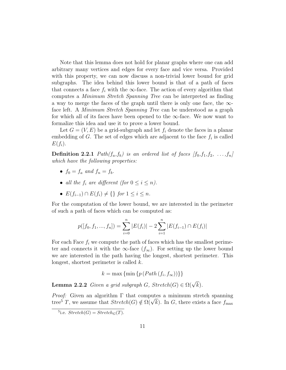Note that this lemma does not hold for planar graphs where one can add arbitrary many vertices and edges for every face and vice versa. Provided with this property, we can now discuss a non-trivial lower bound for grid subgraphs. The idea behind this lower bound is that of a path of faces that connects a face  $f_i$  with the  $\infty$ -face. The action of every algorithm that computes a Minimum Stretch Spanning Tree can be interpreted as finding a way to merge the faces of the graph until there is only one face, the  $\infty$ face left. A Minimum Stretch Spanning Tree can be understood as a graph for which all of its faces have been opened to the  $\infty$ -face. We now want to formalize this idea and use it to prove a lower bound.

Let  $G = (V, E)$  be a grid-subgraph and let  $f_i$  denote the faces in a planar embedding of  $G$ . The set of edges which are adjacent to the face  $f_i$  is called  $E(f_i)$ .

**Definition 2.2.1** Path $(f_a, f_b)$  is an ordered list of faces  $[f_0, f_1, f_2, \ldots, f_n]$ which have the following properties:

- $f_0 = f_a$  and  $f_n = f_b$ .
- all the  $f_i$  are different (for  $0 \leq i \leq n$ ).
- $E(f_{i-1}) \cap E(f_i) \neq \{\}\$  for  $1 \leq i \leq n$ .

For the computation of the lower bound, we are interested in the perimeter of such a path of faces which can be computed as:

$$
p([f_0, f_1, ..., f_n]) = \sum_{i=0}^{n} |E(f_i)| - 2 \sum_{i=1}^{n} |E(f_{i-1}) \cap E(f_i)|
$$

For each Face  $f_i$  we compute the path of faces which has the smallest perimeter and connects it with the  $\infty$ -face  $(f_{\infty})$ . For setting up the lower bound we are interested in the path having the longest, shortest perimeter. This longest, shortest perimeter is called k.

$$
k = \max\left\{\min\left\{p\left(Path(f_i, f_{\infty})\right)\right\}\right\}
$$

**Lemma 2.2.2** Given a grid subgraph G,  $Stretch(G) \in \Omega(\sqrt{k})$ .

*Proof:* Given an algorithm  $\Gamma$  that computes a minimum stretch spanning *Proof:* Given an algorithm I that computes a minimum stretch spanning tree<sup>5</sup> T, we assume that  $Stretch(G) \notin \Omega(\sqrt{k})$ . In G, there exists a face  $f_{\text{max}}$ 

<sup>&</sup>lt;sup>5</sup>i.e.  $Stretch(G) = Stretch_G(T)$ .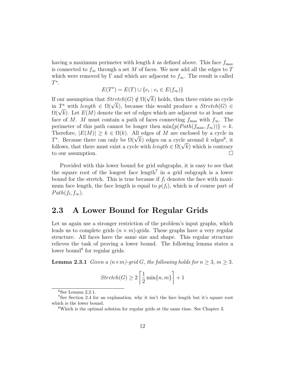having a maximum perimeter with length k as defined above. This face  $f_{\text{max}}$ is connected to  $f_{\infty}$  through a set M of faces. We now add all the edges to T which were removed by  $\Gamma$  and which are adjacent to  $f_{\infty}$ . The result is called  $T^*$ .

$$
E(T^*) = E(T) \cup \{e_i : e_i \in E(f_\infty)\}
$$

If our assumption that  $Stretch(G) \notin \Omega(\sqrt{k})$  holds, then there exists no cycle If our assumption that  $\text{inter}(\mathcal{G}) \notin \Omega(\sqrt{k})$  holds, then there exists no cycle<br>in  $T^*$  with length  $\in \Omega(\sqrt{k})$ , because this would produce a  $\text{Stretch}(G) \in$ in T with length  $\in \Omega(\sqrt{k})$ , because this would produce a *Stretch*(G)  $\in \Omega(\sqrt{k})$ . Let  $E(M)$  denote the set of edges which are adjacent to at least one face of M. M must contain a path of faces connecting  $f_{\text{max}}$  with  $f_{\infty}$ . The perimeter of this path cannot be longer then  $\min\{p(Path(f_{\text{max}}, f_{\infty}))\}=k$ . Therefore,  $|E(M)| \geq k \in \Omega(k)$ . All edges of M are enclosed by a cycle in Therefore,  $|E(M)| \geq k \in \Omega(k)$ . All edges of *M* are enclosed by a cycle in  $T^*$ . Because there can only be  $\Omega(\sqrt{k})$  edges on a cycle around k edges<sup>6</sup>, it *f* a Because there can only be  $\Omega(\sqrt{k})$  edges on a cycle around k edges<sup>o</sup>, it follows, that there must exist a cycle with *length*  $\in \Omega(\sqrt{k})$  which is contrary to our assumption.

Provided with this lower bound for grid subgraphs, it is easy to see that the square root of the longest face  $length<sup>7</sup>$  in a grid subgraph is a lower bound for the stretch. This is true because if  $f_l$  denotes the face with maximum face length, the face length is equal to  $p(f_l)$ , which is of course part of  $Path(f_l, f_{\infty}).$ 

#### 2.3 A Lower Bound for Regular Grids

Let us again use a stronger restriction of the problem's input graphs, which leads us to complete grids  $(n \times m)$ -grids. These graphs have a very regular structure. All faces have the same size and shape. This regular structure relieves the task of proving a lower bound. The following lemma states a lower bound<sup>8</sup> for regular grids.

**Lemma 2.3.1** Given a  $(n \times m)$ -grid G, the following holds for  $n \geq 3$ ,  $m \geq 3$ .

$$
Stretch(G) \ge 2\left\lceil \frac{1}{2}\min\{n, m\}\right\rceil + 1
$$

 ${}^{6}$ See Lemma 2.2.1.

<sup>7</sup>See Section 2.4 for an explanation, why it isn't the face length but it's square root which is the lower bound.

<sup>8</sup>Which is the optimal solution for regular grids at the same time. See Chapter 3.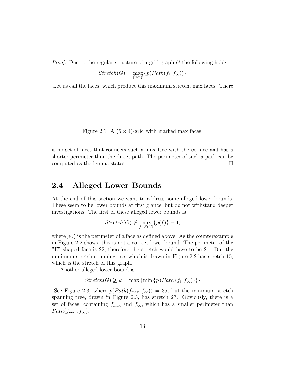Proof: Due to the regular structure of a grid graph G the following holds.

$$
Stretch(G) = \max_{facef_i} \{p(Path(f_i, f_{\infty}))\}
$$

Let us call the faces, which produce this maximum stretch, max faces. There

Figure 2.1: A  $(6 \times 4)$ -grid with marked max faces.

is no set of faces that connects such a max face with the  $\infty$ -face and has a shorter perimeter than the direct path. The perimeter of such a path can be computed as the lemma states.  $\square$ 

#### 2.4 Alleged Lower Bounds

At the end of this section we want to address some alleged lower bounds. These seem to be lower bounds at first glance, but do not withstand deeper investigations. The first of these alleged lower bounds is

$$
Stretch(G) \not\geq \max_{f \in F(G)} \{p(f)\} - 1,
$$

where  $p(.)$  is the perimeter of a face as defined above. As the counterexample in Figure 2.2 shows, this is not a correct lower bound. The perimeter of the "E"-shaped face is 22, therefore the stretch would have to be 21. But the minimum stretch spanning tree which is drawn in Figure 2.2 has stretch 15, which is the stretch of this graph.

Another alleged lower bound is

$$
Stretch(G) \not\geq k = \max \{\min \{p (Path (f_i, f_{\infty}))\}\}\
$$

See Figure 2.3, where  $p(Path(f_{\text{max}}, f_{\infty})) = 35$ , but the minimum stretch spanning tree, drawn in Figure 2.3, has stretch 27. Obviously, there is a set of faces, containing  $f_{\text{max}}$  and  $f_{\infty}$ , which has a smaller perimeter than  $Path(f_{\text{max}}, f_{\infty}).$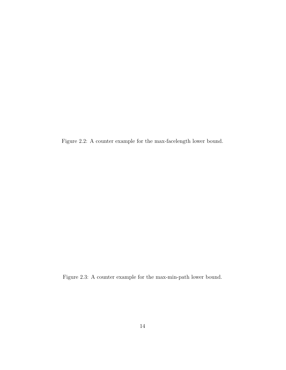Figure 2.2: A counter example for the max-facelength lower bound.

Figure 2.3: A counter example for the max-min-path lower bound.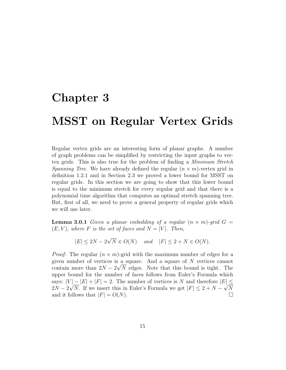## Chapter 3

## MSST on Regular Vertex Grids

Regular vertex grids are an interesting form of planar graphs. A number of graph problems can be simplified by restricting the input graphs to vertex grids. This is also true for the problem of finding a Minimum Stretch *Spanning Tree.* We have already defined the regular  $(n \times m)$ -vertex grid in definition 1.2.1 and in Section 2.3 we proved a lower bound for MSST on regular grids. In this section we are going to show that this lower bound is equal to the minimum stretch for every regular grid and that there is a polynomial time algorithm that computes an optimal stretch spanning tree. But, first of all, we need to prove a general property of regular grids which we will use later.

**Lemma 3.0.1** Given a planar embedding of a regular  $(n \times m)$ -grid  $G =$  $(E, V)$ , where F is the set of faces and  $N = |V|$ . Then,

$$
|E| \le 2N - 2\sqrt{N} \in O(N) \quad \text{and} \quad |F| \le 2 + N \in O(N).
$$

*Proof:* The regular  $(n \times m)$ -grid with the maximum number of edges for a given number of vertices is a square. And a square of  $N$  vertices cannot contain more than  $2N - 2\sqrt{N}$  edges. Note that this bound is tight. The upper bound for the number of faces follows from Euler's Formula which says:  $|V| - |E| + |F| = 2$ . The number of vertices is N and therefore  $|E| \le$  $2N - 2\sqrt{N}$ . If we insert this in Euler's Formula we get  $|F| \leq 2 + N - \sqrt{N}$ and it follows that  $|F| = O(N)$ .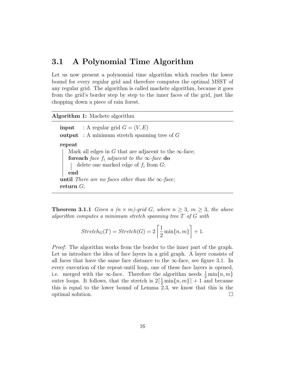#### 3.1 A Polynomial Time Algorithm

Let us now present a polynomial time algorithm which reaches the lower bound for every regular grid and therefore computes the optimal MSST of any regular grid. The algorithm is called machete algorithm, because it goes from the grid's border step by step to the inner faces of the grid, just like chopping down a piece of rain forest.

#### Algorithm 1: Machete algorithm

**input** : A regular grid  $G = (V, E)$ output : A minimum stretch spanning tree of  $G$ repeat Mark all edges in G that are adjacent to the  $\infty$ -face; for each face  $f_i$  adjacent to the  $\infty$ -face do delete one marked edge of  $f_i$  from  $G$ ; end until There are no faces other than the  $\infty$ -face; return  $G;$ 

**Theorem 3.1.1** Given a  $(n \times m)$ -grid G, where  $n \geq 3$ ,  $m \geq 3$ , the above algorithm computes a minimum stretch spanning tree T of G with

$$
Stretch_G(T) = Stretch(G) = 2\left\lceil \frac{1}{2}\min\{n, m\}\right\rceil + 1.
$$

Proof: The algorithm works from the border to the inner part of the graph. Let us introduce the idea of face layers in a grid graph. A layer consists of all faces that have the same face distance to the  $\infty$ -face, see figure 3.1. In every execution of the repeat-until loop, one of these face layers is opened, i.e. merged with the ∞-face. Therefore the algorithm needs  $\frac{1}{2} \min\{n, m\}$ outer loops. It follows, that the stretch is  $2\left[\frac{1}{2}\min\{n,m\}\right] + 1$  and because this is equal to the lower bound of Lemma 2.3, we know that this is the optimal solution.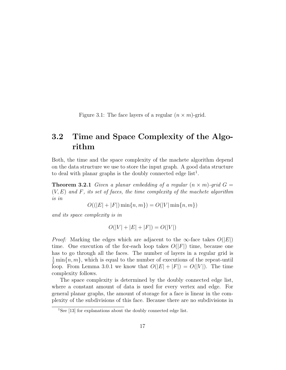Figure 3.1: The face layers of a regular  $(n \times m)$ -grid.

## 3.2 Time and Space Complexity of the Algorithm

Both, the time and the space complexity of the machete algorithm depend on the data structure we use to store the input graph. A good data structure to deal with planar graphs is the doubly connected edge  $list<sup>1</sup>$ .

**Theorem 3.2.1** Given a planar embedding of a regular  $(n \times m)$ -grid  $G =$  $(V, E)$  and F, its set of faces, the time complexity of the machete algorithm is in

 $O((|E| + |F|) \min\{n, m\}) = O(|V| \min\{n, m\})$ 

and its space complexity is in

$$
O(|V| + |E| + |F|) = O(|V|)
$$

*Proof:* Marking the edges which are adjacent to the  $\infty$ -face takes  $O(|E|)$ time. One execution of the for-each loop takes  $O(|F|)$  time, because one has to go through all the faces. The number of layers in a regular grid is  $\frac{1}{2}$  min $\{n, m\}$ , which is equal to the number of executions of the repeat-until loop. From Lemma 3.0.1 we know that  $O(|E| + |F|) = O(|V|)$ . The time complexity follows.

The space complexity is determined by the doubly connected edge list, where a constant amount of data is used for every vertex and edge. For general planar graphs, the amount of storage for a face is linear in the complexity of the subdivisions of this face. Because there are no subdivisions in

<sup>&</sup>lt;sup>1</sup>See [13] for explanations about the doubly connected edge list.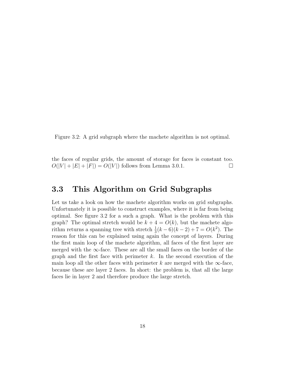Figure 3.2: A grid subgraph where the machete algorithm is not optimal.

the faces of regular grids, the amount of storage for faces is constant too.  $O(|V| + |E| + |F|) = O(|V|)$  follows from Lemma 3.0.1.

### 3.3 This Algorithm on Grid Subgraphs

Let us take a look on how the machete algorithm works on grid subgraphs. Unfortunately it is possible to construct examples, where it is far from being optimal. See figure 3.2 for a such a graph. What is the problem with this graph? The optimal stretch would be  $k + 4 = O(k)$ , but the machete algorithm returns a spanning tree with stretch  $\frac{1}{3}(k-6)(k-2) + 7 = O(k^2)$ . The reason for this can be explained using again the concept of layers. During the first main loop of the machete algorithm, all faces of the first layer are merged with the  $\infty$ -face. These are all the small faces on the border of the graph and the first face with perimeter  $k$ . In the second execution of the main loop all the other faces with perimeter k are merged with the  $\infty$ -face, because these are layer 2 faces. In short: the problem is, that all the large faces lie in layer 2 and therefore produce the large stretch.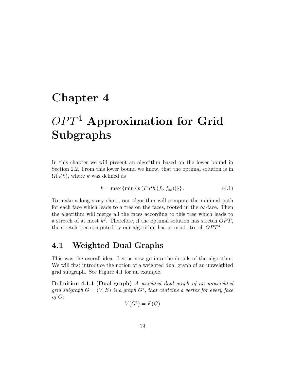## Chapter 4

# $OPT<sup>4</sup>$  Approximation for Grid Subgraphs

In this chapter we will present an algorithm based on the lower bound in Section 2.2. From this lower bound we know, that the optimal solution is in Section 2.2. From this lower bo<br> $\Omega(\sqrt{k}),$  where k was defined as

$$
k = \max\left\{\min\left\{p\left(Path(f_i, f_\infty)\right)\right\}\right\}.
$$
\n(4.1)

To make a long story short, our algorithm will compute the minimal path for each face which leads to a tree on the faces, rooted in the  $\infty$ -face. Then the algorithm will merge all the faces according to this tree which leads to a stretch of at most  $k^2$ . Therefore, if the optimal solution has stretch  $OPT$ , the stretch tree computed by our algorithm has at most stretch  $OPT<sup>4</sup>$ .

### 4.1 Weighted Dual Graphs

This was the overall idea. Let us now go into the details of the algorithm. We will first introduce the notion of a weighted dual graph of an unweighted grid subgraph. See Figure 4.1 for an example.

Definition 4.1.1 (Dual graph) A weighted dual graph of an unweighted grid subgraph  $G = (V, E)$  is a graph  $G^*$ , that contains a vertex for every face of G:

$$
V(G^*) = F(G)
$$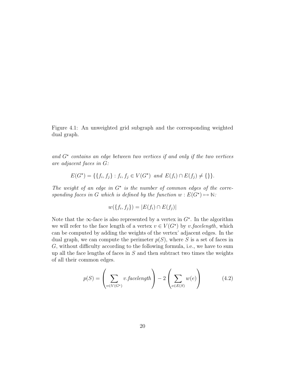Figure 4.1: An unweighted grid subgraph and the corresponding weighted dual graph.

and  $G^*$  contains an edge between two vertices if and only if the two vertices are adjacent faces in G:

$$
E(G^*) = \{ \{ f_i, f_j \} : f_i, f_j \in V(G^*) \text{ and } E(f_i) \cap E(f_j) \neq \{ \} \}.
$$

The weight of an edge in  $G^*$  is the number of common edges of the corresponding faces in G which is defined by the function  $w : E(G^*) \mapsto \mathbb{N}$ :

$$
w(\{f_i, f_j\}) = |E(f_i) \cap E(f_j)|
$$

Note that the  $\infty$ -face is also represented by a vertex in  $G^*$ . In the algorithm we will refer to the face length of a vertex  $v \in V(G^*)$  by v.facelength, which can be computed by adding the weights of the vertex' adjacent edges. In the dual graph, we can compute the perimeter  $p(S)$ , where S is a set of faces in G, without difficulty according to the following formula, i.e., we have to sum up all the face lengths of faces in  $S$  and then subtract two times the weights of all their common edges.

$$
p(S) = \left(\sum_{v \in V(G^*)} v \cdot \text{facelength}\right) - 2\left(\sum_{e \in E(S)} w(e)\right) \tag{4.2}
$$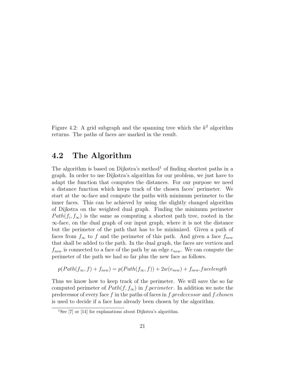Figure 4.2: A grid subgraph and the spanning tree which the  $k^2$  algorithm returns. The paths of faces are marked in the result.

#### 4.2 The Algorithm

The algorithm is based on Dijkstra's method<sup>1</sup> of finding shortest paths in a graph. In order to use Dijkstra's algorithm for our problem, we just have to adapt the function that computes the distances. For our purpose we need a distance function which keeps track of the chosen faces' perimeter. We start at the  $\infty$ -face and compute the paths with minimum perimeter to the inner faces. This can be achieved by using the slightly changed algorithm of Dijkstra on the weighted dual graph. Finding the minimum perimeter  $Path(f_i, f_{\infty})$  is the same as computing a shortest path tree, rooted in the  $\infty$ -face, on the dual graph of our input graph, where it is not the distance but the perimeter of the path that has to be minimized. Given a path of faces from  $f_{\infty}$  to f and the perimeter of this path. And given a face  $f_{new}$ that shall be added to the path. In the dual graph, the faces are vertices and  $f_{new}$  is connected to a face of the path by an edge  $e_{new}$ . We can compute the perimeter of the path we had so far plus the new face as follows.

$$
p(Path(f_{\infty}, f) + f_{new}) = p(Path(f_{\infty}, f)) + 2w(e_{new}) + f_{new}.facelength
$$

Thus we know how to keep track of the perimeter. We will save the so far computed perimeter of  $Path(f, f_{\infty})$  in f.perimeter. In addition we note the predecessor of every face f in the paths of faces in f.predecessor and f.chosen is used to decide if a face has already been chosen by the algorithm.

<sup>&</sup>lt;sup>1</sup>See [7] or [14] for explanations about Dijkstra's algorithm.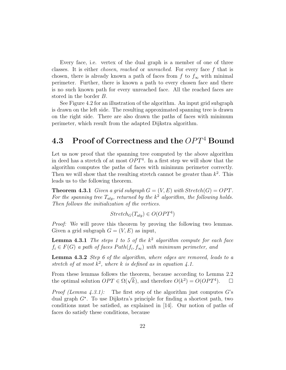Every face, i.e. vertex of the dual graph is a member of one of three classes. It is either chosen, reached or unreached. For every face f that is chosen, there is already known a path of faces from  $f$  to  $f_{\infty}$  with minimal perimeter. Further, there is known a path to every chosen face and there is no such known path for every unreached face. All the reached faces are stored in the border B.

See Figure 4.2 for an illustration of the algorithm. An input grid subgraph is drawn on the left side. The resulting approximated spanning tree is drawn on the right side. There are also drawn the paths of faces with minimum perimeter, which result from the adapted Dijkstra algorithm.

### 4.3 Proof of Correctness and the  $OPT<sup>4</sup>$  Bound

Let us now proof that the spanning tree computed by the above algorithm in deed has a stretch of at most  $OPT<sup>4</sup>$ . In a first step we will show that the algorithm computes the paths of faces with minimum perimeter correctly. Then we will show that the resulting stretch cannot be greater than  $k^2$ . This leads us to the following theorem.

**Theorem 4.3.1** Given a grid subgraph  $G = (V, E)$  with  $Stretch(G) = OPT$ . For the spanning tree  $T_{alg}$ , returned by the  $k^2$  algorithm, the following holds. Then follows the initialization of the vertices.

$$
Stretch_G(T_{alg}) \in O(OPT^4)
$$

Proof: We will prove this theorem by proving the following two lemmas. Given a grid subgraph  $G = (V, E)$  as input,

**Lemma 4.3.1** The steps 1 to 5 of the  $k^2$  algorithm compute for each face  $f_i \in F(G)$  a path of faces  $Path(f_i, f_{\infty})$  with minimum perimeter, and

Lemma 4.3.2 Step 6 of the algorithm, where edges are removed, leads to a stretch of at most  $k^2$ , where k is defined as in equation 4.1.

From these lemmas follows the theorem, because according to Lemma 2.2 From these lemmas follows the theorem, because according to Lemma 2.2<br>the optimal solution  $OPT \in \Omega(\sqrt{k})$ , and therefore  $O(k^2) = O(OPT^4)$ .  $\Box$ 

*Proof (Lemma 4.3.1):* The first step of the algorithm just computes G's dual graph  $G^*$ . To use Dijkstra's principle for finding a shortest path, two conditions must be satisfied, as explained in [14]. Our notion of paths of faces do satisfy these conditions, because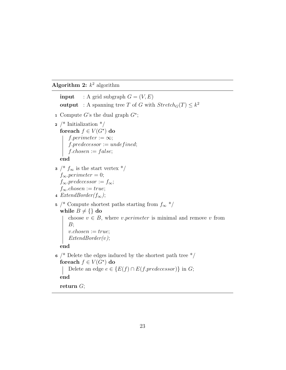#### Algorithm 2:  $k^2$  algorithm

**input** : A grid subgraph  $G = (V, E)$ **output** : A spanning tree T of G with  $Stretch_G(T) \leq k^2$ 1 Compute G's the dual graph  $G^*$ ;  $2$  /\* Initialization \*/ foreach  $f \in V(G^{\star})$  do  $f.\text{perimeter} := \infty;$  $\label{eq:proba} f.\textit{predecessor} := \textit{undefined};$  $f.closen := false;$ end  $3 / * f_{\infty}$  is the start vertex  $*/$  $f_{\infty}.perimeter = 0;$  $f_{\infty}.predecessor := f_{\infty};$  $f_{\infty}.chosen := true;$ 4 ExtendBorder( $f_{\infty}$ ); 5 /\* Compute shortest paths starting from  $f_{\infty}$  \*/ while  $B \neq \{\}$  do choose  $v \in B$ , where *v.perimeter* is minimal and remove *v* from  $B$ ;  $v{\mathit{.chosen}} := true;$  $ExtendBorder(v);$ end  $6$  /\* Delete the edges induced by the shortest path tree  $\frac{*}{ }$ foreach  $f \in V(G^{\star})$  do Delete an edge  $e \in \{E(f) \cap E(f,predecessary)\}\$ in G; end return G;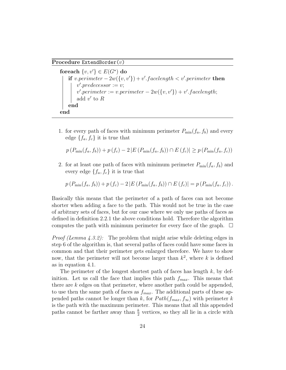Procedure ExtendBorder(v)

foreach  $\{v, v'\} \in E(G^{\star})$  do if v.perimeter  $-2w({v,v'}) + v'.facelength < v'.perimeter$  then  $v'.predecessor := v;$  $v'.perimeter := v.perimeter - 2w({v, v'}) + v'.facelength;$ add  $v'$  to  $R$ end end

1. for every path of faces with minimum perimeter  $P_{\text{min}}(f_a, f_b)$  and every edge  $\{f_a, f_c\}$  it is true that

$$
p(P_{\min}(f_a, f_b)) + p(f_c) - 2|E(P_{\min}(f_a, f_b)) \cap E(f_c)| \ge p(P_{\min}(f_a, f_c))
$$

2. for at least one path of faces with minimum perimeter  $P_{\text{min}}(f_a, f_b)$  and every edge  $\{f_a, f_c\}$  it is true that

 $p (P_{\min}(f_a, f_b)) + p (f_c) - 2 |E (P_{\min}(f_a, f_b)) \cap E (f_c)| = p (P_{\min}(f_a, f_c)).$ 

Basically this means that the perimeter of a path of faces can not become shorter when adding a face to the path. This would not be true in the case of arbitrary sets of faces, but for our case where we only use paths of faces as defined in definition 2.2.1 the above conditions hold. Therefore the algorithm computes the path with minimum perimeter for every face of the graph.  $\Box$ 

*Proof (Lemma 4.3.2):* The problem that might arise while deleting edges in step 6 of the algorithm is, that several paths of faces could have some faces in common and that their perimeter gets enlarged therefore. We have to show now, that the perimeter will not become larger than  $k^2$ , where k is defined as in equation 4.1.

The perimeter of the longest shortest path of faces has length  $k$ , by definition. Let us call the face that implies this path  $f_{max}$ . This means that there are k edges on that perimeter, where another path could be appended, to use then the same path of faces as  $f_{max}$ . The additional parts of these appended paths cannot be longer than k, for  $Path(f_{max}, f_{\infty})$  with perimeter k is the path with the maximum perimeter. This means that all this appended paths cannot be farther away than  $\frac{k}{2}$  vertices, so they all lie in a circle with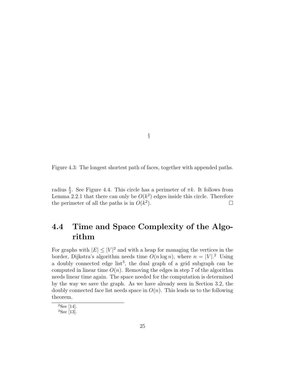Figure 4.3: The longest shortest path of faces, together with appended paths.

radius  $\frac{k}{2}$ . See Figure 4.4. This circle has a perimeter of  $\pi k$ . It follows from Lemma 2.2.1 that there can only be  $O(k^2)$  edges inside this circle. Therefore the perimeter of all the paths is in  $O(k^2)$ ).  $\qquad \qquad \Box$ 

## 4.4 Time and Space Complexity of the Algorithm

For graphs with  $|E| \leq |V|^2$  and with a heap for managing the vertices in the border, Dijkstra's algorithm needs time  $O(n \log n)$ , where  $n = |V|$ <sup>2</sup> Using a doubly connected edge  $list^3$ , the dual graph of a grid subgraph can be computed in linear time  $O(n)$ . Removing the edges in step 7 of the algorithm needs linear time again. The space needed for the computation is determined by the way we save the graph. As we have already seen in Section 3.2, the doubly connected face list needs space in  $O(n)$ . This leads us to the following theorem.

 ${}^{2}$ See [14].

<sup>3</sup>See [13].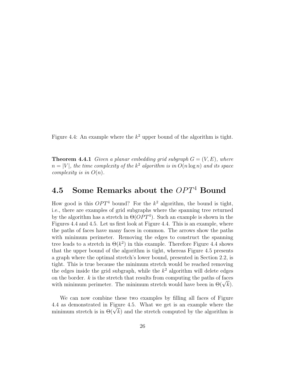Figure 4.4: An example where the  $k^2$  upper bound of the algorithm is tight.

**Theorem 4.4.1** Given a planar embedding grid subgraph  $G = (V, E)$ , where  $n = |V|$ , the time complexity of the  $k^2$  algorithm is in  $O(n \log n)$  and its space complexity is in  $O(n)$ .

## 4.5 Some Remarks about the  $OPT<sup>4</sup>$  Bound

How good is this  $OPT^4$  bound? For the  $k^2$  algorithm, the bound is tight, i.e., there are examples of grid subgraphs where the spanning tree returned by the algorithm has a stretch in  $\Theta(OPT^4)$ . Such an example is shown in the Figures 4.4 and 4.5. Let us first look at Figure 4.4. This is an example, where the paths of faces have many faces in common. The arrows show the paths with minimum perimeter. Removing the edges to construct the spanning tree leads to a stretch in  $\Theta(k^2)$  in this example. Therefore Figure 4.4 shows that the upper bound of the algorithm is tight, whereas Figure 4.5 presents a graph where the optimal stretch's lower bound, presented in Section 2.2, is tight. This is true because the minimum stretch would be reached removing the edges inside the grid subgraph, while the  $k^2$  algorithm will delete edges on the border.  $k$  is the stretch that results from computing the paths of faces on the border. *k* is the stretch that results from computing the paths of faces<br>with minimum perimeter. The minimum stretch would have been in  $\Theta(\sqrt{k})$ .

We can now combine these two examples by filling all faces of Figure 4.4 as demonstrated in Figure 4.5. What we get is an example where the 4.4 as demonstrated in Figure 4.5. What we get is an example where the minimum stretch is in  $\Theta(\sqrt{k})$  and the stretch computed by the algorithm is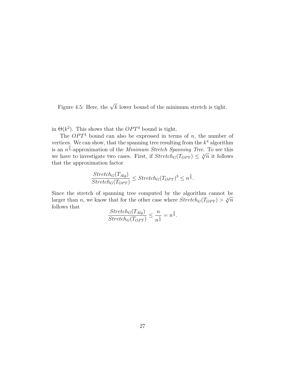Figure 4.5: Here, the  $\sqrt{k}$  lower bound of the minimum stretch is tight.

in  $\Theta(k^2)$ . This shows that the  $OPT^4$  bound is tight.

The  $OPT<sup>4</sup>$  bound can also be expressed in terms of n, the number of vertices. We can show, that the spanning tree resulting from the  $k^4$  algorithm is an  $n^{\frac{3}{4}}$ -approximation of the *Minimum Stretch Spanning Tree*. To see this is an  $n_4$ -approximation of the *minimum stretch spanning free.* To see this we have to investigate two cases. First, if  $Stretch_G(T_{OPT}) \leq \sqrt[4]{n}$  it follows that the approximation factor

$$
\frac{Stretch_G(T_{Alg})}{Stretch_G(T_{OPT})} \le Stretch_G(T_{OPT})^3 \le n^{\frac{3}{4}}.
$$

Since the stretch of spanning tree computed by the algorithm cannot be since the stretch of spanning tree computed by the algorithm cannot be<br>larger than n, we know that for the other case where  $Stretch_G(T_{OPT}) > \sqrt[4]{n}$ follows that

$$
\frac{Stretch_G(T_{Alg})}{Stretch_G(T_{OPT})} \le \frac{n}{n^{\frac{1}{4}}} = n^{\frac{3}{4}}.
$$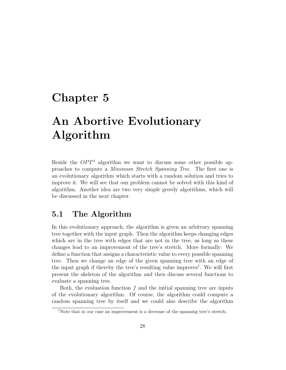## Chapter 5

## An Abortive Evolutionary Algorithm

Beside the  $OPT<sup>4</sup>$  algorithm we want to discuss some other possible approaches to compute a Minimum Stretch Spanning Tree. The first one is an evolutionary algorithm which starts with a random solution and tries to improve it. We will see that our problem cannot be solved with this kind of algorithm. Another idea are two very simple greedy algorithms, which will be discussed in the next chapter.

### 5.1 The Algorithm

In this evolutionary approach, the algorithm is given an arbitrary spanning tree together with the input graph. Then the algorithm keeps changing edges which are in the tree with edges that are not in the tree, as long as these changes lead to an improvement of the tree's stretch. More formally: We define a function that assigns a characteristic value to every possible spanning tree. Then we change an edge of the given spanning tree with an edge of the input graph if thereby the tree's resulting value improves<sup>1</sup>. We will first present the skeleton of the algorithm and then discuss several functions to evaluate a spanning tree.

Both, the evaluation function  $f$  and the initial spanning tree are inputs of the evolutionary algorithm. Of course, the algorithm could compute a random spanning tree by itself and we could also describe the algorithm

<sup>1</sup>Note that in our case an improvement is a decrease of the spanning tree's stretch.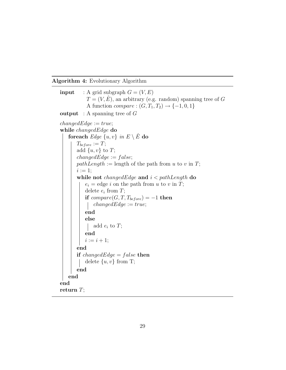#### Algorithm 4: Evolutionary Algorithm

```
input : A grid subgraph G = (V, E)T = (V, \hat{E}), an arbitrary (e.g. random) spanning tree of G
           A function compare : (G, T_1, T_2) \rightarrow \{-1, 0, 1\}output : A spanning tree of GchangedEdge := true;while changedEdge do
   foreach Edge\{u, v\} in E \setminus \hat{E} do
       T_{before} := T;add \{u, v\} to T;
       changedEdge := false;pathLength := length of the path from u to v in T;i := 1;
       while not changedEdge and i < pathLength do
           e_i = edge i on the path from u to v in T;
           delete e_i from T;
          if compare(G, T, T_{before}) = -1 then
              changedEdge := true;\overline{\phantom{a}}end
          else
              add e_i to T;
          end
          i := i + 1;end
       if changedEdge = false then
          delete \{u, v\} from T;
       end
   end
end
return T;
```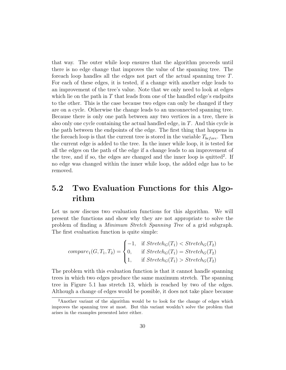that way. The outer while loop ensures that the algorithm proceeds until there is no edge change that improves the value of the spanning tree. The foreach loop handles all the edges not part of the actual spanning tree T. For each of these edges, it is tested, if a change with another edge leads to an improvement of the tree's value. Note that we only need to look at edges which lie on the path in  $T$  that leads from one of the handled edge's endpoits to the other. This is the case because two edges can only be changed if they are on a cycle. Otherwise the change leads to an unconnected spanning tree. Because there is only one path between any two vertices in a tree, there is also only one cycle containing the actual handled edge, in T. And this cycle is the path between the endpoints of the edge. The first thing that happens in the foreach loop is that the current tree is stored in the variable  $T_{before}$ . Then the current edge is added to the tree. In the inner while loop, it is tested for all the edges on the path of the edge if a change leads to an improvement of the tree, and if so, the edges are changed and the inner loop is quitted<sup>2</sup>. If no edge was changed within the inner while loop, the added edge has to be removed.

## 5.2 Two Evaluation Functions for this Algorithm

Let us now discuss two evaluation functions for this algorithm. We will present the functions and show why they are not appropriate to solve the problem of finding a Minimum Stretch Spanning Tree of a grid subgraph. The first evaluation function is quite simple:

$$
compare_1(G, T_1, T_2) = \begin{cases} -1, & \text{if } Stretech_G(T_1) < Stretech_G(T_2) \\ 0, & \text{if } Stretech_G(T_1) = Stretech_G(T_2) \\ 1, & \text{if } Stretech_G(T_1) > Stretech_G(T_2) \end{cases}
$$

The problem with this evaluation function is that it cannot handle spanning trees in which two edges produce the same maximum stretch. The spanning tree in Figure 5.1 has stretch 13, which is reached by two of the edges. Although a change of edges would be possible, it does not take place because

<sup>&</sup>lt;sup>2</sup>Another variant of the algorithm would be to look for the change of edges which improves the spanning tree at most. But this variant wouldn't solve the problem that arises in the examples presented later either.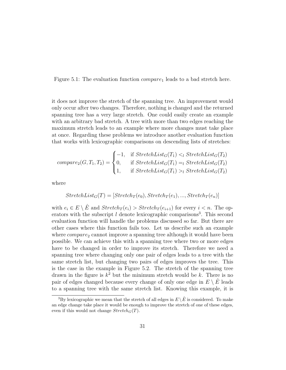Figure 5.1: The evaluation function  $compare_1$  leads to a bad stretch here.

it does not improve the stretch of the spanning tree. An improvement would only occur after two changes. Therefore, nothing is changed and the returned spanning tree has a very large stretch. One could easily create an example with an arbitrary bad stretch. A tree with more than two edges reaching the maximum stretch leads to an example where more changes must take place at once. Regarding these problems we introduce another evaluation function that works with lexicographic comparisons on descending lists of stretches:

$$
compare_2(G, T_1, T_2) = \begin{cases} -1, & \text{if } StretchList_G(T_1) <_l StretchList_G(T_2) \\ 0, & \text{if } StretchList_G(T_1) =_l StretchList_G(T_2) \\ 1, & \text{if } StretchList_G(T_1) >_l StretchList_G(T_2) \end{cases}
$$

where

$$
StretchList_G(T) = [Stretch_T(e_0), Stretch_T(e_1), ..., Stretch_T(e_n)]
$$

with  $e_i \in E \setminus \hat{E}$  and  $Stretch_T(e_i) > Stretch_T(e_{i+1})$  for every  $i < n$ . The operators with the subscript  $l$  denote lexicographic comparisons<sup>3</sup>. This second evaluation function will handle the problems discussed so far. But there are other cases where this function fails too. Let us describe such an example where  $compare_2$  cannot improve a spanning tree although it would have been possible. We can achieve this with a spanning tree where two or more edges have to be changed in order to improve its stretch. Therefore we need a spanning tree where changing only one pair of edges leads to a tree with the same stretch list, but changing two pairs of edges improves the tree. This is the case in the example in Figure 5.2. The stretch of the spanning tree drawn in the figure is  $k^2$  but the minimum stretch would be k. There is no pair of edges changed because every change of only one edge in  $E \setminus E$  leads to a spanning tree with the same stretch list. Knowing this example, it is

<sup>&</sup>lt;sup>3</sup>By lexicographic we mean that the stretch of all edges in  $E \setminus \hat{E}$  is considered. To make an edge change take place it would be enough to improve the stretch of one of these edges, even if this would not change  $Stretch<sub>G</sub>(T)$ .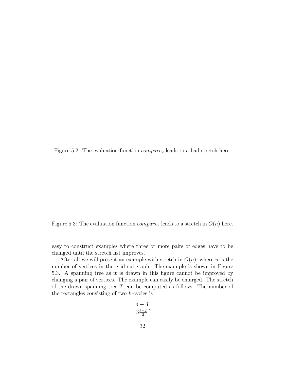Figure 5.2: The evaluation function  $compare_2$  leads to a bad stretch here.

Figure 5.3: The evaluation function  $compare_2$  leads to a stretch in  $O(n)$  here.

easy to construct examples where three or more pairs of edges have to be changed until the stretch list improves.

After all we will present an example with stretch in  $O(n)$ , where n is the number of vertices in the grid subgraph. The example is shown in Figure 5.3. A spanning tree as it is drawn in this figure cannot be improved by changing a pair of vertices. The example can easily be enlarged. The stretch of the drawn spanning tree  $T$  can be computed as follows. The number of the rectangles consisting of two k-cycles is

$$
\frac{n-3}{3\frac{k-2}{2}}.
$$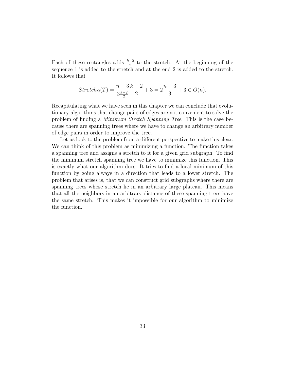Each of these rectangles adds  $\frac{k-2}{2}$  to the stretch. At the beginning of the sequence 1 is added to the stretch and at the end 2 is added to the stretch. It follows that

$$
Stretch_G(T) = \frac{n-3}{3\frac{k-2}{2}} + 3 = 2\frac{n-3}{3} + 3 \in O(n).
$$

Recapitulating what we have seen in this chapter we can conclude that evolutionary algorithms that change pairs of edges are not convenient to solve the problem of finding a Minimum Stretch Spanning Tree. This is the case because there are spanning trees where we have to change an arbitrary number of edge pairs in order to improve the tree.

Let us look to the problem from a different perspective to make this clear. We can think of this problem as minimizing a function. The function takes a spanning tree and assigns a stretch to it for a given grid subgraph. To find the minimum stretch spanning tree we have to minimize this function. This is exactly what our algorithm does. It tries to find a local minimum of this function by going always in a direction that leads to a lower stretch. The problem that arises is, that we can construct grid subgraphs where there are spanning trees whose stretch lie in an arbitrary large plateau. This means that all the neighbors in an arbitrary distance of these spanning trees have the same stretch. This makes it impossible for our algorithm to minimize the function.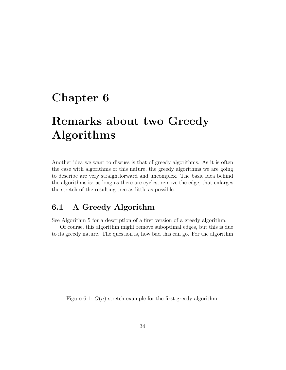## Chapter 6

## Remarks about two Greedy Algorithms

Another idea we want to discuss is that of greedy algorithms. As it is often the case with algorithms of this nature, the greedy algorithms we are going to describe are very straightforward and uncomplex. The basic idea behind the algorithms is: as long as there are cycles, remove the edge, that enlarges the stretch of the resulting tree as little as possible.

### 6.1 A Greedy Algorithm

See Algorithm 5 for a description of a first version of a greedy algorithm.

Of course, this algorithm might remove suboptimal edges, but this is due to its greedy nature. The question is, how bad this can go. For the algorithm

Figure 6.1:  $O(n)$  stretch example for the first greedy algorithm.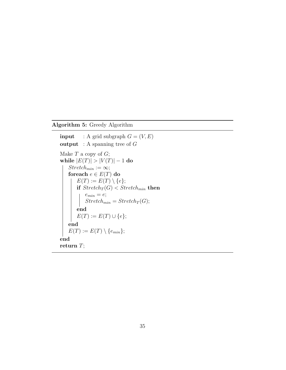#### Algorithm 5: Greedy Algorithm

```
input : A grid subgraph G = (V, E)output : A spanning tree of GMake T a copy of G;
while |E(T)| > |V(T)| - 1 do
    Stretch_{min} := \infty;foreach e \in E(T) do
        E(T) := E(T) \setminus \{e\};if Stretch_T(G) < Stretch_{min} then
            e_{min} = e;e_{min} - e,<br>Stretch<sub>min</sub> = Stretch<sub>T</sub>(G);
        end
       E(T) := E(T) \cup \{e\};end
    E(T) := E(T) \setminus \{e_{min}\};end
return T;
```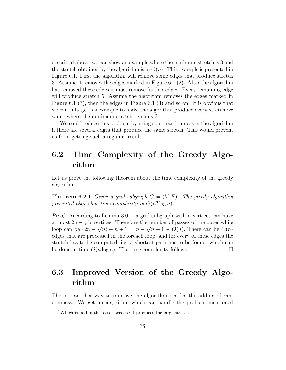described above, we can show an example where the minimum stretch is 3 and the stretch obtained by the algorithm is in  $O(n)$ . This example is presented in Figure 6.1. First the algorithm will remove some edges that produce stretch 3. Assume it removes the edges marked in Figure 6.1 (2). After the algorithm has removed these edges it must remove further edges. Every remaining edge will produce stretch 5. Assume the algorithm removes the edges marked in Figure 6.1 (3), then the edges in Figure 6.1 (4) and so on. It is obvious that we can enlarge this example to make the algorithm produce every stretch we want, where the minimum stretch remains 3.

We could reduce this problem by using some randomness in the algorithm if there are several edges that produce the same stretch. This would prevent us from getting such a regular<sup>1</sup> result.

## 6.2 Time Complexity of the Greedy Algorithm

Let us prove the following theorem about the time complexity of the greedy algorithm.

**Theorem 6.2.1** Given a grid subgraph  $G = (V, E)$ . The greedy algorithm presented above has time complexity in  $O(n^3 \log n)$ .

*Proof:* According to Lemma 3.0.1, a grid subgraph with *n* vertices can have at most  $2n - \sqrt{n}$  vertices. Therefore the number of passes of the outer while loop can be  $(2n - \sqrt{n}) - n + 1 = n - \sqrt{n} + 1 \in O(n)$ . There can be  $O(n)$ edges that are processed in the foreach loop, and for every of these edges the stretch has to be computed, i.e. a shortest path has to be found, which can be done in time  $O(n \log n)$ . The time complexity follows.

## 6.3 Improved Version of the Greedy Algorithm

There is another way to improve the algorithm besides the adding of randomness. We get an algorithm which can handle the problem mentioned

<sup>1</sup>Which is bad in this case, because it produces the large stretch.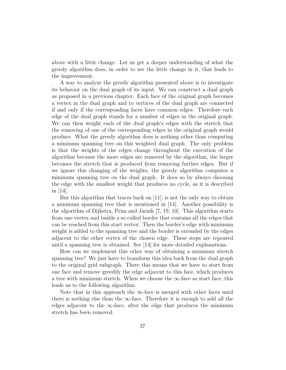above with a little change. Let us get a deeper understanding of what the greedy algorithm does, in order to see the little change in it, that leads to the improvement.

A way to analyze the greedy algorithm presented above is to investigate its behavior on the dual graph of its input. We can construct a dual graph as proposed in a previous chapter. Each face of the original graph becomes a vertex in the dual graph and to vertices of the dual graph are connected if and only if the corresponding faces have common edges. Therefore each edge of the dual graph stands for a number of edges in the original graph. We can then weight each of the dual graph's edges with the stretch that the removing of one of the corresponding edges in the original graph would produce. What the greedy algorithm does is nothing other than computing a minimum spanning tree on this weighted dual graph. The only problem is that the weights of the edges change throughout the execution of the algorithm because the more edges are removed by the algorithm, the larger becomes the stretch that is produced from removing further edges. But if we ignore this changing of the weights, the greedy algorithm computes a minimum spanning tree on the dual graph. It does so by always choosing the edge with the smallest weight that produces no cycle, as it is described in [14].

But this algorithm that traces back on [11], is not the only way to obtain a minimum spanning tree that is mentioned in [14]. Another possibility is the algorithm of Dijkstra, Prim and Jarnik [7, 19, 10]. This algorithm starts from one vertex and builds a so called border that contains all the edges that can be reached from this start vertex. Then the border's edge with minimum weight is added to the spanning tree and the border is extended by the edges adjacent to the other vertex of the chosen edge. These steps are repeated until a spanning tree is obtained. See [14] for more detailed explanations.

How can we implement this other way of obtaining a minimum stretch spanning tree? We just have to transform this idea back from the dual graph to the original grid subgraph. There this means that we have to start from one face and remove greedily the edge adjacent to this face, which produces a tree with minimum stretch. When we choose the  $\infty$ -face as start face, this leads us to the following algorithm.

Note that in this approach the  $\infty$ -face is merged with other faces until there is nothing else than the  $\infty$ -face. Therefore it is enough to add all the edges adjacent to the  $\infty$ -face, after the edge that produces the minimum stretch has been removed.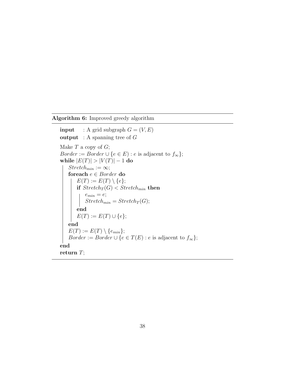#### Algorithm 6: Improved greedy algorithm

```
input : A grid subgraph G = (V, E)output : A spanning tree of GMake T a copy of G;
Border := Border \cup {e \in E} : e is adjacent to f_{\infty}};
while |E(T)| > |V(T)| - 1 do
    Stretch_{min} := \infty;foreach e \in Border do
        E(T) := E(T) \setminus \{e\};\mathbf{if}\ \mathit{Stretch}_T(G) < \mathit{Stretch}_{min}\ \mathbf{then}e_{min} = e;Stretch_{min} = Stretch_T(G);end
        E(T) := E(T) \cup \{e\};end
    E(T) := E(T) \setminus \{e_{min}\};Border := Border \cup \{e \in T(E) : e \text{ is adjacent to } f_{\infty}\};end
return T;
```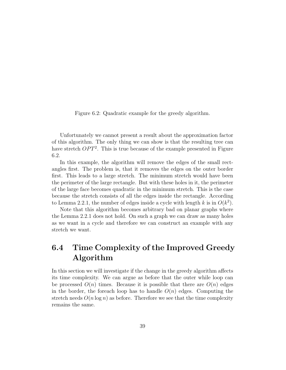Figure 6.2: Quadratic example for the greedy algorithm.

Unfortunately we cannot present a result about the approximation factor of this algorithm. The only thing we can show is that the resulting tree can have stretch  $OPT^2$ . This is true because of the example presented in Figure 6.2.

In this example, the algorithm will remove the edges of the small rectangles first. The problem is, that it removes the edges on the outer border first. This leads to a large stretch. The minimum stretch would have been the perimeter of the large rectangle. But with these holes in it, the perimeter of the large face becomes quadratic in the minimum stretch. This is the case because the stretch consists of all the edges inside the rectangle. According to Lemma 2.2.1, the number of edges inside a cycle with length k is in  $O(k^2)$ .

Note that this algorithm becomes arbitrary bad on planar graphs where the Lemma 2.2.1 does not hold. On such a graph we can draw as many holes as we want in a cycle and therefore we can construct an example with any stretch we want.

## 6.4 Time Complexity of the Improved Greedy Algorithm

In this section we will investigate if the change in the greedy algorithm affects its time complexity. We can argue as before that the outer while loop can be processed  $O(n)$  times. Because it is possible that there are  $O(n)$  edges in the border, the foreach loop has to handle  $O(n)$  edges. Computing the stretch needs  $O(n \log n)$  as before. Therefore we see that the time complexity remains the same.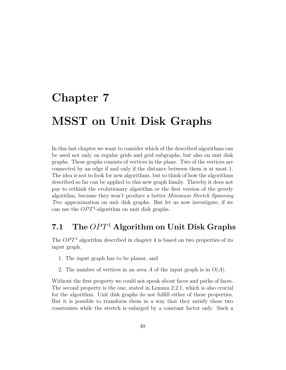# Chapter 7 MSST on Unit Disk Graphs

In this last chapter we want to consider which of the described algorithms can be used not only on regular grids and grid subgraphs, but also on unit disk graphs. These graphs consists of vertices in the plane. Two of the vertices are connected by an edge if and only if the distance between them is at most 1. The idea is not to look for new algorithms, but to think of how the algorithms described so far can be applied to this new graph family. Thereby it does not pay to rethink the evolutionary algorithm or the first version of the greedy algorithm, because they won't produce a better Minimum Stretch Spanning Tree approximation on unit disk graphs. But let us now investigate, if we can use the  $OPT<sup>4</sup>$ -algorithm on unit disk graphs.

## 7.1 The  $OPT^4$  Algorithm on Unit Disk Graphs

The  $OPT<sup>4</sup>$  algorithm described in chapter 4 is based on two properties of its input graph.

- 1. The input graph has to be planar, and
- 2. The number of vertices in an area A of the input graph is in  $O(A)$ .

Without the first property we could not speak about faces and paths of faces. The second property is the one, stated in Lemma 2.2.1, which is also crucial for the algorithm. Unit disk graphs do not fulfill either of these properties. But it is possible to transform them in a way that they satisfy these two constraints while the stretch is enlarged by a constant factor only. Such a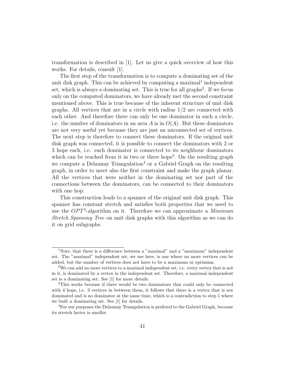transformation is described in [1]. Let us give a quick overview of how this works. For details, consult [1].

The first step of the transformation is to compute a dominating set of the unit disk graph. This can be achieved by computing a maximal<sup>1</sup> independent set, which is always a dominating set. This is true for all graphs<sup>2</sup>. If we focus only on the computed dominators, we have already met the second constraint mentioned above. This is true because of the inherent structure of unit disk graphs. All vertices that are in a circle with radius  $1/2$  are connected with each other. And therefore there can only be one dominator in such a circle, i.e. the number of dominators in an area A is in  $O(A)$ . But these dominators are not very useful yet because they are just an unconnected set of vertices. The next step is therefore to connect these dominators. If the original unit disk graph was connected, it is possible to connect the dominators with 2 or 3 hops each, i.e. each dominator is connected to its neighbour dominators which can be reached from it in two or three hops<sup>3</sup>. On the resulting graph we compute a Delaunay Triangulation<sup>4</sup> or a Gabriel Graph on the resulting graph, in order to meet also the first constraint and make the graph planar. All the vertices that were neither in the dominating set nor part of the connections between the dominators, can be connected to their dominators with one hop.

This construction leads to a spanner of the original unit disk graph. This spanner has constant stretch and satisfies both properties that we need to use the  $OPT<sup>4</sup>$ -algorithm on it. Therefore we can approximate a *Minimum* Stretch Spanning Tree on unit disk graphs with this algorithm as we can do it on grid subgraphs.

<sup>&</sup>lt;sup>1</sup>Note, that there is a difference between a "maximal" and a "maximum" independent set. The "maximal" independent set, we use here, is one where no more vertices can be added, but the number of vertices does not have to be a maximum or optimum.

<sup>2</sup>We can add no more vertices to a maximal independent set, i.e. every vertex that is not in it, is dominated by a vertex in the independent set. Therefore, a maximal independent set is a dominating set. See [1] for more details.

<sup>3</sup>This works because if there would be two dominators that could only be connected with 4 hops, i.e. 3 vertices in between them, it follows that there is a vertex that is not dominated and is no dominator at the same time, which is a contradiction to step 1 where we built a dominating set. See [1] for details.

<sup>&</sup>lt;sup>4</sup>For our purposes the Delaunay Triangulation is prefered to the Gabriel Graph, because its stretch factor is smaller.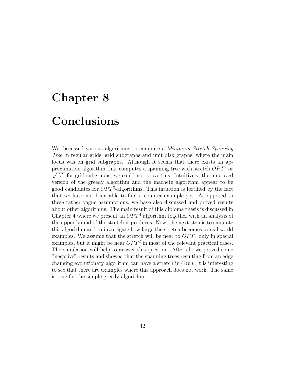# Chapter 8 Conclusions

We discussed various algorithms to compute a *Minimum Stretch Spanning* Tree in regular grids, grid subgraphs and unit disk graphs, where the main focus was on grid subgraphs. Although it seems that there exists an approximation algorithm that computes a spanning tree with stretch  $OPT<sup>2</sup>$  or  $\sqrt{|V|}$  for grid subgraphs, we could not prove this. Intuitively, the improved version of the greedy algorithm and the machete algorithm appear to be good candidates for  $OPT^2$ -algorithms. This intuition is fortified by the fact that we have not been able to find a counter example yet. As opposed to these rather vague assumptions, we have also discussed and proved results about other algorithms. The main result of this diploma thesis is discussed in Chapter 4 where we present an  $OPT<sup>4</sup>$  algorithm together with an analysis of the upper bound of the stretch it produces. Now, the next step is to simulate this algorithm and to investigate how large the stretch becomes in real world examples. We assume that the stretch will be near to  $OPT<sup>4</sup>$  only in special examples, but it might be near  $OPT^2$  in most of the relevant practical cases. The simulation will help to answer this question. After all, we proved some "negative" results and showed that the spanning trees resulting from an edge changing evolutionary algorithm can have a stretch in  $O(n)$ . It is interesting to see that there are examples where this approach does not work. The same is true for the simple greedy algorithm.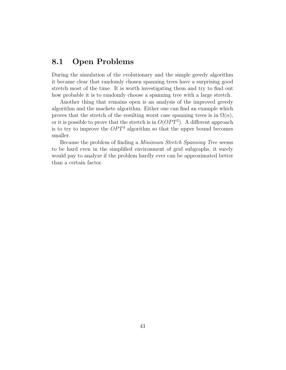### 8.1 Open Problems

During the simulation of the evolutionary and the simple greedy algorithm it became clear that randomly chosen spanning trees have a surprising good stretch most of the time. It is worth investigating them and try to find out how probable it is to randomly choose a spanning tree with a large stretch.

Another thing that remains open is an analysis of the improved greedy algorithm and the machete algorithm. Either one can find an example which proves that the stretch of the resulting worst case spanning trees is in  $\Omega(n)$ , or it is possible to prove that the stretch is in  $O(OPT<sup>2</sup>)$ . A different approach is to try to improve the  $OPT<sup>4</sup>$  algorithm so that the upper bound becomes smaller.

Because the problem of finding a Minimum Stretch Spanning Tree seems to be hard even in the simplified environment of grid subgraphs, it surely would pay to analyze if the problem hardly ever can be approximated better than a certain factor.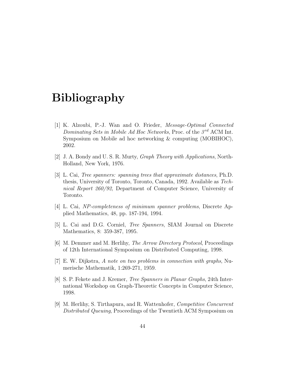## Bibliography

- [1] K. Alzoubi, P.-J. Wan and O. Frieder, Message-Optimal Connected Dominating Sets in Mobile Ad Hoc Networks, Proc. of the  $3^{rd}$  ACM Int. Symposium on Mobile ad hoc networking & computing (MOBIHOC), 2002.
- [2] J. A. Bondy and U. S. R. Murty, Graph Theory with Applications, North-Holland, New York, 1976.
- [3] L. Cai, Tree spanners: spanning trees that approximate distances, Ph.D. thesis, University of Toronto, Toronto, Canada, 1992. Available as Technical Report 260/92, Department of Computer Science, University of Toronto.
- [4] L. Cai, NP-completeness of minimum spanner problems, Discrete Applied Mathematics, 48, pp. 187-194, 1994.
- [5] L. Cai and D.G. Corniel, Tree Spanners, SIAM Journal on Discrete Mathematics, 8: 359-387, 1995.
- [6] M. Demmer and M. Herlihy, The Arrow Directory Protocol, Proceedings of 12th International Symposium on Distributed Computing, 1998.
- [7] E. W. Dijkstra, A note on two problems in connection with graphs, Numerische Mathematik, 1:269-271, 1959.
- [8] S. P. Fekete and J. Kremer, Tree Spanners in Planar Graphs, 24th International Workshop on Graph-Theoretic Concepts in Computer Science, 1998.
- [9] M. Herlihy, S. Tirthapura, and R. Wattenhofer, Competitive Concurrent Distributed Queuing, Proceedings of the Twentieth ACM Symposium on